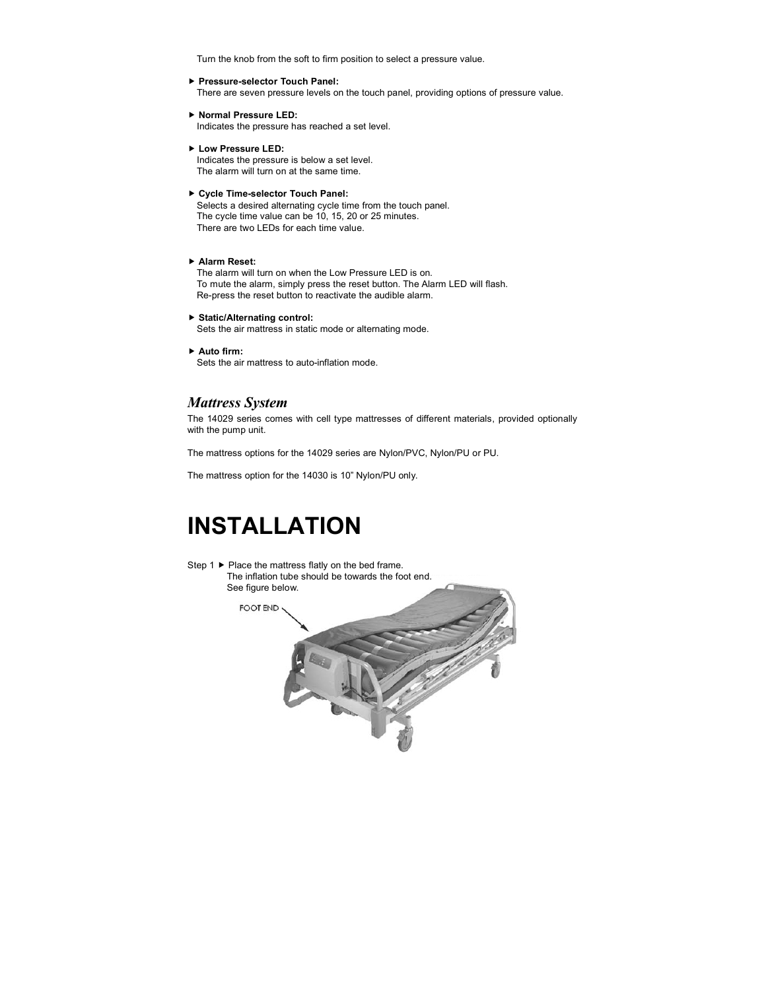Turn the knob from the soft to firm position to select a pressure value.

#### **Pressure-selector Touch Panel:**

There are seven pressure levels on the touch panel, providing options of pressure value.

- **Normal Pressure LED:** Indicates the pressure has reached a set level.
- **Low Pressure LED:**

Indicates the pressure is below a set level. The alarm will turn on at the same time.

**Cycle Time-selector Touch Panel:**

Selects a desired alternating cycle time from the touch panel. The cycle time value can be 10, 15, 20 or 25 minutes. There are two LEDs for each time value.

**Alarm Reset:**

The alarm will turn on when the Low Pressure LED is on. To mute the alarm, simply press the reset button. The Alarm LED will flash. Re-press the reset button to reactivate the audible alarm.

**Static/Alternating control:**

Sets the air mattress in static mode or alternating mode.

**Auto firm:**

Sets the air mattress to auto-inflation mode.

#### *Mattress System*

The 14029 series comes with cell type mattresses of different materials, provided optionally with the pump unit.

The mattress options for the 14029 series are Nylon/PVC, Nylon/PU or PU.

The mattress option for the 14030 is 10" Nylon/PU only.

## **INSTALLATION**

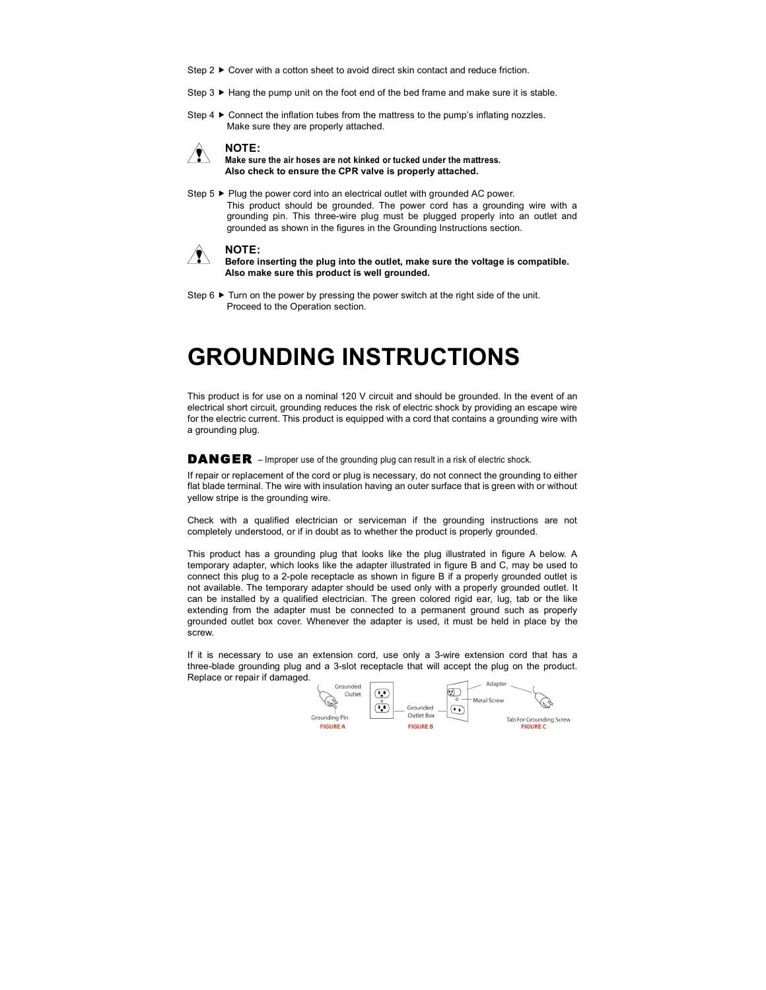- Step  $2 \triangleright$  Cover with a cotton sheet to avoid direct skin contact and reduce friction.
- Step  $3 \triangleright$  Hang the pump unit on the foot end of the bed frame and make sure it is stable.
- Step 4  $\blacktriangleright$  Connect the inflation tubes from the mattress to the pump's inflating nozzles. Make sure they are properly attached.



#### **Make sure the air hoses are not kinked or tucked under the mattress. Also check to ensure the CPR valve is properly attached.**

Step 5 ► Plug the power cord into an electrical outlet with grounded AC power. This product should be grounded. The power cord has a grounding wire with a grounding pin. This three-wire plug must be plugged properly into an outlet and grounded as shown in the figures in the Grounding Instructions section.



- **Before inserting the plug into the outlet, make sure the voltage is compatible. Also make sure this product is well grounded.**
- Step  $6 \triangleright$  Turn on the power by pressing the power switch at the right side of the unit. Proceed to the Operation section.

### **GROUNDING INSTRUCTIONS**

This product is for use on a nominal 120 V circuit and should be grounded. In the event of an electrical short circuit, grounding reduces the risk of electric shock by providing an escape wire for the electric current. This product is equipped with a cord that contains a grounding wire with a grounding plug.

DANGER – Improper use of the grounding plug can result in a risk of electric shock.

If repair or replacement of the cord or plug is necessary, do not connect the grounding to either flat blade terminal. The wire with insulation having an outer surface that is green with or without yellow stripe is the grounding wire.

Check with a qualified electrician or serviceman if the grounding instructions are not completely understood, or if in doubt as to whether the product is properly grounded.

This product has a grounding plug that looks like the plug illustrated in figure A below. A temporary adapter, which looks like the adapter illustrated in figure B and C, may be used to connect this plug to a 2-pole receptacle as shown in figure B if a properly grounded outlet is not available. The temporary adapter should be used only with a properly grounded outlet. It can be installed by a qualified electrician. The green colored rigid ear, lug, tab or the like extending from the adapter must be connected to a permanent ground such as properly grounded outlet box cover. Whenever the adapter is used, it must be held in place by the screw.

If it is necessary to use an extension cord, use only a 3-wire extension cord that has a three-blade grounding plug and a 3-slot receptacle that will accept the plug on the product. Replace or repair if damaged.

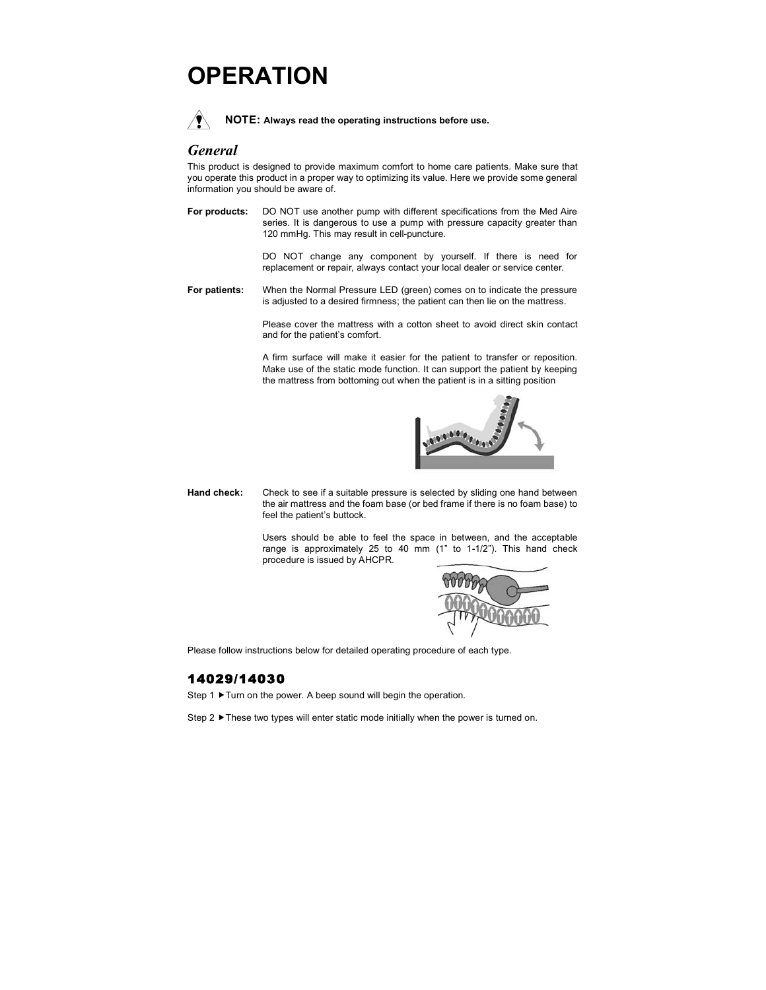## **OPERATION**



**NOTE: Always read the operating instructions before use.**

#### *General*

This product is designed to provide maximum comfort to home care patients. Make sure that you operate this product in a proper way to optimizing its value. Here we provide some general information you should be aware of.

**For products:** DO NOT use another pump with different specifications from the Med Aire series. It is dangerous to use a pump with pressure capacity greater than 120 mmHg. This may result in cell-puncture.

> DO NOT change any component by yourself. If there is need for replacement or repair, always contact your local dealer or service center.

**For patients:** When the Normal Pressure LED (green) comes on to indicate the pressure is adjusted to a desired firmness; the patient can then lie on the mattress.

> Please cover the mattress with a cotton sheet to avoid direct skin contact and for the patient's comfort.

> A firm surface will make it easier for the patient to transfer or reposition. Make use of the static mode function. It can support the patient by keeping the mattress from bottoming out when the patient is in a sitting position



**Hand check:** Check to see if a suitable pressure is selected by sliding one hand between the air mattress and the foam base (or bed frame if there is no foam base) to feel the patient's buttock.

> Users should be able to feel the space in between, and the acceptable range is approximately 25 to 40 mm (1" to 1-1/2"). This hand check procedure is issued by AHCPR.



Please follow instructions below for detailed operating procedure of each type.

#### 14029/14030

Step 1 > Turn on the power. A beep sound will begin the operation.

Step 2  $\blacktriangleright$  These two types will enter static mode initially when the power is turned on.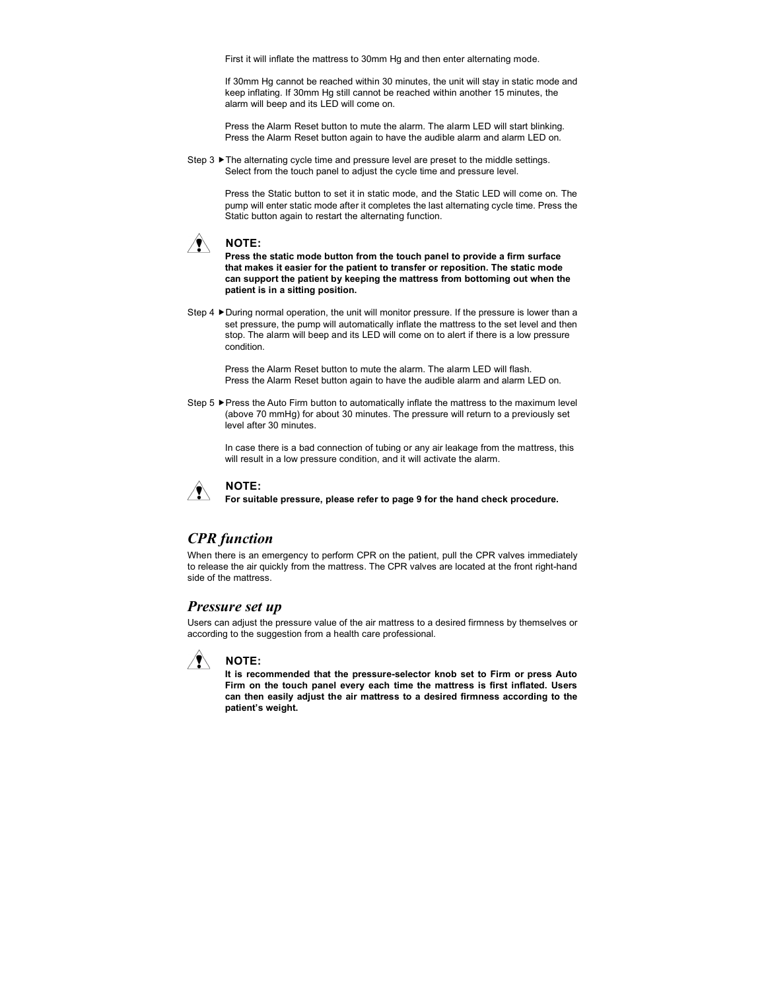First it will inflate the mattress to 30mm Hg and then enter alternating mode.

If 30mm Hg cannot be reached within 30 minutes, the unit will stay in static mode and keep inflating. If 30mm Hg still cannot be reached within another 15 minutes, the alarm will beep and its LED will come on.

Press the Alarm Reset button to mute the alarm. The alarm LED will start blinking. Press the Alarm Reset button again to have the audible alarm and alarm LED on.

Step  $3 \triangleright$  The alternating cycle time and pressure level are preset to the middle settings. Select from the touch panel to adjust the cycle time and pressure level.

> Press the Static button to set it in static mode, and the Static LED will come on. The pump will enter static mode after it completes the last alternating cycle time. Press the Static button again to restart the alternating function.



**Press the static mode button from the touch panel to provide a firm surface that makes it easier for the patient to transfer or reposition. The static mode can support the patient by keeping the mattress from bottoming out when the patient is in a sitting position.**

Step 4 During normal operation, the unit will monitor pressure. If the pressure is lower than a set pressure, the pump will automatically inflate the mattress to the set level and then stop. The alarm will beep and its LED will come on to alert if there is a low pressure condition.

Press the Alarm Reset button to mute the alarm. The alarm LED will flash. Press the Alarm Reset button again to have the audible alarm and alarm LED on.

Step 5 Press the Auto Firm button to automatically inflate the mattress to the maximum level (above 70 mmHg) for about 30 minutes. The pressure will return to a previously set level after 30 minutes.

In case there is a bad connection of tubing or any air leakage from the mattress, this will result in a low pressure condition, and it will activate the alarm.



**For suitable pressure, please refer to page 9 for the hand check procedure.**

#### *CPR function*

When there is an emergency to perform CPR on the patient, pull the CPR valves immediately to release the air quickly from the mattress. The CPR valves are located at the front right-hand side of the mattress.

#### *Pressure set up*

Users can adjust the pressure value of the air mattress to a desired firmness by themselves or according to the suggestion from a health care professional.



**It is recommended that the pressure-selector knob set to Firm or press Auto Firm on the touch panel every each time the mattress is first inflated. Users can then easily adjust the air mattress to a desired firmness according to the patient's weight.**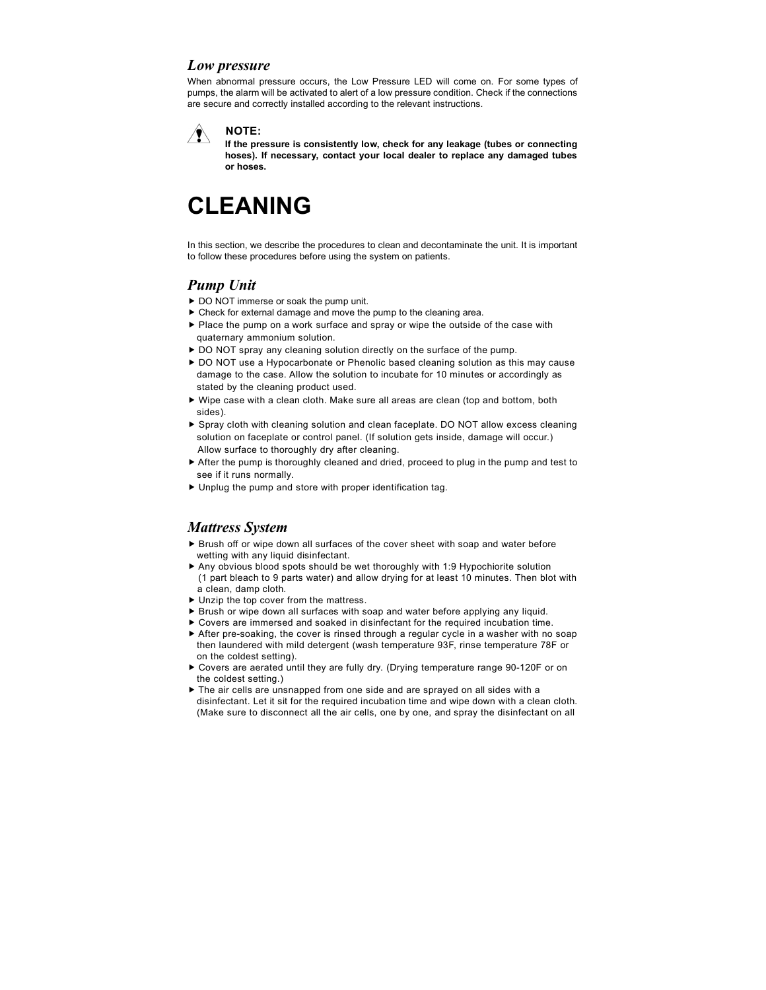#### *Low pressure*

When abnormal pressure occurs, the Low Pressure LED will come on. For some types of pumps, the alarm will be activated to alert of a low pressure condition. Check if the connections are secure and correctly installed according to the relevant instructions.

#### **NOTE:**  $\sqrt{N}$

**If the pressure is consistently low, check for any leakage (tubes or connecting hoses). If necessary, contact your local dealer to replace any damaged tubes or hoses.**

# **CLEANING**

In this section, we describe the procedures to clean and decontaminate the unit. It is important to follow these procedures before using the system on patients.

#### *Pump Unit*

- DO NOT immerse or soak the pump unit.
- Check for external damage and move the pump to the cleaning area.
- Place the pump on a work surface and spray or wipe the outside of the case with quaternary ammonium solution.
- ▶ DO NOT spray any cleaning solution directly on the surface of the pump.
- DO NOT use a Hypocarbonate or Phenolic based cleaning solution as this may cause damage to the case. Allow the solution to incubate for 10 minutes or accordingly as stated by the cleaning product used.
- Wipe case with a clean cloth. Make sure all areas are clean (top and bottom, both sides).
- Spray cloth with cleaning solution and clean faceplate. DO NOT allow excess cleaning solution on faceplate or control panel. (If solution gets inside, damage will occur.) Allow surface to thoroughly dry after cleaning.
- After the pump is thoroughly cleaned and dried, proceed to plug in the pump and test to see if it runs normally.
- Unplug the pump and store with proper identification tag.

#### *Mattress System*

- Brush off or wipe down all surfaces of the cover sheet with soap and water before wetting with any liquid disinfectant.
- Any obvious blood spots should be wet thoroughly with 1:9 Hypochiorite solution (1 part bleach to 9 parts water) and allow drying for at least 10 minutes. Then blot with a clean, damp cloth.
- ▶ Unzip the top cover from the mattress.
- Brush or wipe down all surfaces with soap and water before applying any liquid.
- Covers are immersed and soaked in disinfectant for the required incubation time.
- After pre-soaking, the cover is rinsed through a regular cycle in a washer with no soap then laundered with mild detergent (wash temperature 93F, rinse temperature 78F or on the coldest setting).
- Covers are aerated until they are fully dry. (Drying temperature range 90-120F or on the coldest setting.)
- $\blacktriangleright$  The air cells are unsnapped from one side and are sprayed on all sides with a disinfectant. Let it sit for the required incubation time and wipe down with a clean cloth. (Make sure to disconnect all the air cells, one by one, and spray the disinfectant on all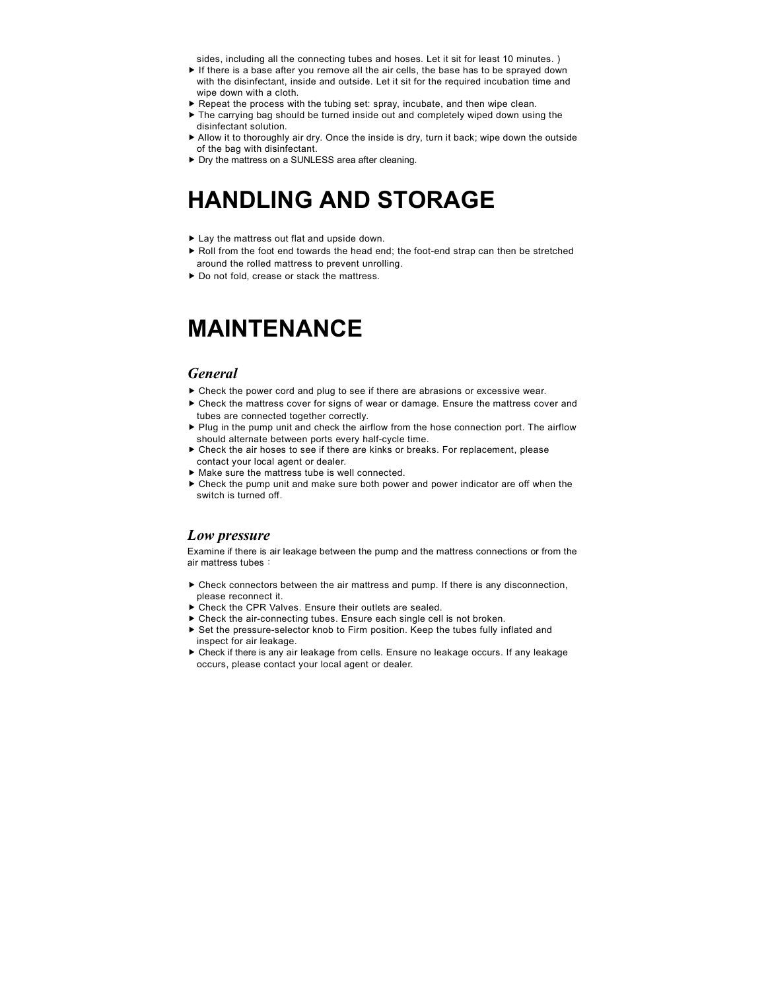sides, including all the connecting tubes and hoses. Let it sit for least 10 minutes. )

- $\blacktriangleright$  If there is a base after you remove all the air cells, the base has to be sprayed down with the disinfectant, inside and outside. Let it sit for the required incubation time and wipe down with a cloth.
- Repeat the process with the tubing set: spray, incubate, and then wipe clean.
- ▶ The carrying bag should be turned inside out and completely wiped down using the disinfectant solution.
- Allow it to thoroughly air dry. Once the inside is dry, turn it back; wipe down the outside of the bag with disinfectant.
- ▶ Dry the mattress on a SUNLESS area after cleaning.

## **HANDLING AND STORAGE**

- ▶ Lay the mattress out flat and upside down.
- ▶ Roll from the foot end towards the head end; the foot-end strap can then be stretched around the rolled mattress to prevent unrolling.
- ▶ Do not fold, crease or stack the mattress.

### **MAINTENANCE**

#### *General*

- Check the power cord and plug to see if there are abrasions or excessive wear.
- Check the mattress cover for signs of wear or damage. Ensure the mattress cover and tubes are connected together correctly.
- $\blacktriangleright$  Plug in the pump unit and check the airflow from the hose connection port. The airflow should alternate between ports every half-cycle time.
- Check the air hoses to see if there are kinks or breaks. For replacement, please contact your local agent or dealer.
- $\blacktriangleright$  Make sure the mattress tube is well connected.
- Check the pump unit and make sure both power and power indicator are off when the switch is turned off.

#### *Low pressure*

Examine if there is air leakage between the pump and the mattress connections or from the air mattress tubes:

- Check connectors between the air mattress and pump. If there is any disconnection, please reconnect it.
- ▶ Check the CPR Valves. Ensure their outlets are sealed.
- Check the air-connecting tubes. Ensure each single cell is not broken.
- Set the pressure-selector knob to Firm position. Keep the tubes fully inflated and inspect for air leakage.
- Check if there is any air leakage from cells. Ensure no leakage occurs. If any leakage occurs, please contact your local agent or dealer.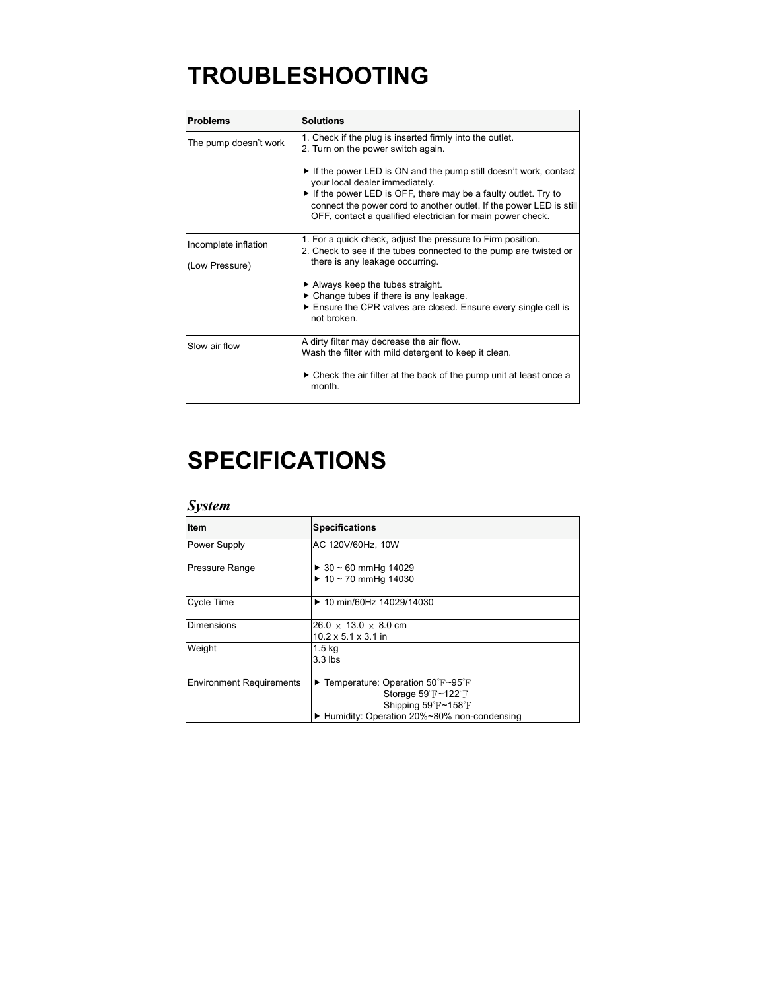# **TROUBLESHOOTING**

| <b>Problems</b>       | <b>Solutions</b>                                                                                                                                                                                   |  |
|-----------------------|----------------------------------------------------------------------------------------------------------------------------------------------------------------------------------------------------|--|
| The pump doesn't work | 1. Check if the plug is inserted firmly into the outlet.<br>2. Turn on the power switch again.                                                                                                     |  |
|                       | If the power LED is ON and the pump still doesn't work, contact<br>your local dealer immediately.                                                                                                  |  |
|                       | If the power LED is OFF, there may be a faulty outlet. Try to<br>connect the power cord to another outlet. If the power LED is still<br>OFF, contact a qualified electrician for main power check. |  |
| Incomplete inflation  | 1. For a quick check, adjust the pressure to Firm position.<br>2. Check to see if the tubes connected to the pump are twisted or                                                                   |  |
| (Low Pressure)        | there is any leakage occurring.                                                                                                                                                                    |  |
|                       | $\blacktriangleright$ Always keep the tubes straight.                                                                                                                                              |  |
|                       | $\triangleright$ Change tubes if there is any leakage.<br>Ensure the CPR valves are closed. Ensure every single cell is<br>not broken.                                                             |  |
| Slow air flow         | A dirty filter may decrease the air flow.<br>Wash the filter with mild detergent to keep it clean.                                                                                                 |  |
|                       | $\triangleright$ Check the air filter at the back of the pump unit at least once a<br>month.                                                                                                       |  |

# **SPECIFICATIONS**

### *System*

| <b>Item</b>                     | <b>Specifications</b>                                                                                                                                                      |  |  |
|---------------------------------|----------------------------------------------------------------------------------------------------------------------------------------------------------------------------|--|--|
| Power Supply                    | AC 120V/60Hz, 10W                                                                                                                                                          |  |  |
| <b>Pressure Range</b>           | $\triangleright$ 30 ~ 60 mmHg 14029<br>$\triangleright$ 10 ~ 70 mmHg 14030                                                                                                 |  |  |
| <b>Cycle Time</b>               | ▶ 10 min/60Hz 14029/14030                                                                                                                                                  |  |  |
| <b>Dimensions</b>               | $26.0 \times 13.0 \times 8.0$ cm<br>$10.2 \times 5.1 \times 3.1$ in                                                                                                        |  |  |
| Weight                          | 1.5 <sub>kq</sub><br>$3.3$ lbs                                                                                                                                             |  |  |
| <b>Environment Requirements</b> | $\blacktriangleright$ Temperature: Operation 50°F~95°F<br>Storage $59^{\circ}$ F ~ 122 $^{\circ}$ F<br>Shipping 59°F~158°F<br>► Humidity: Operation 20%~80% non-condensing |  |  |